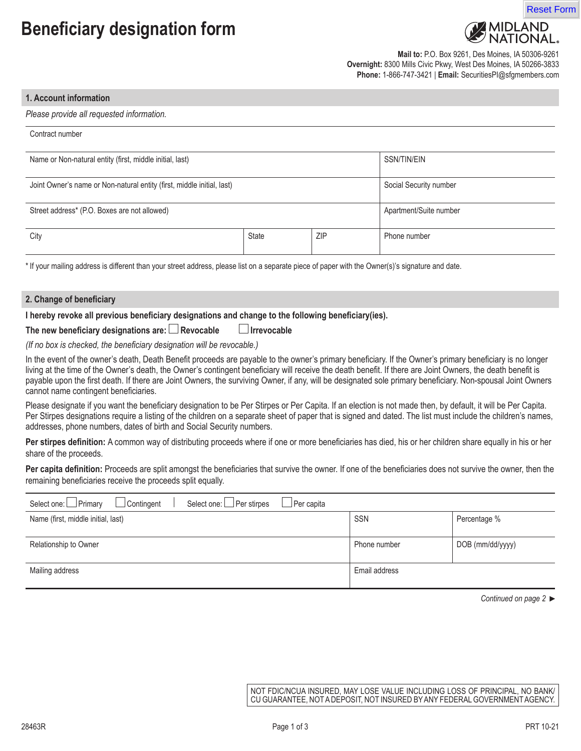## **Beneficiary designation form**





**Mail to:** P.O. Box 9261, Des Moines, IA 50306-9261 **Overnight:** 8300 Mills Civic Pkwy, West Des Moines, IA 50266-3833 **Phone:** 1-866-747-3421 | **Email:** SecuritiesPI@sfgmembers.com

## **1. Account information**

*Please provide all requested information.*

| Contract number                                                        |              |            |                        |  |
|------------------------------------------------------------------------|--------------|------------|------------------------|--|
| Name or Non-natural entity (first, middle initial, last)               |              |            | SSN/TIN/EIN            |  |
| Joint Owner's name or Non-natural entity (first, middle initial, last) |              |            | Social Security number |  |
| Street address* (P.O. Boxes are not allowed)                           |              |            | Apartment/Suite number |  |
| City                                                                   | <b>State</b> | <b>ZIP</b> | Phone number           |  |

\* If your mailing address is different than your street address, please list on a separate piece of paper with the Owner(s)'s signature and date.

| 2. Change of beneficiary |  |
|--------------------------|--|
|--------------------------|--|

## **I hereby revoke all previous beneficiary designations and change to the following beneficiary(ies).**

The new beneficiary designations are: **Revocable Intervocable** 

*(If no box is checked, the beneficiary designation will be revocable.)*

In the event of the owner's death, Death Benefit proceeds are payable to the owner's primary beneficiary. If the Owner's primary beneficiary is no longer living at the time of the Owner's death, the Owner's contingent beneficiary will receive the death benefit. If there are Joint Owners, the death benefit is payable upon the first death. If there are Joint Owners, the surviving Owner, if any, will be designated sole primary beneficiary. Non-spousal Joint Owners cannot name contingent beneficiaries.

Please designate if you want the beneficiary designation to be Per Stirpes or Per Capita. If an election is not made then, by default, it will be Per Capita. Per Stirpes designations require a listing of the children on a separate sheet of paper that is signed and dated. The list must include the children's names, addresses, phone numbers, dates of birth and Social Security numbers.

Per stirpes definition: A common way of distributing proceeds where if one or more beneficiaries has died, his or her children share equally in his or her share of the proceeds.

Per capita definition: Proceeds are split amongst the beneficiaries that survive the owner. If one of the beneficiaries does not survive the owner, then the remaining beneficiaries receive the proceeds split equally.

| Select one: Primary<br>Select one: $\Box$ Per stirpes<br>$\Box$ Contingent<br>J Per capita l |               |                  |
|----------------------------------------------------------------------------------------------|---------------|------------------|
| Name (first, middle initial, last)                                                           | <b>SSN</b>    | Percentage %     |
|                                                                                              |               |                  |
| Relationship to Owner                                                                        | Phone number  | DOB (mm/dd/yyyy) |
| Mailing address                                                                              | Email address |                  |

*Continued on page 2* 

NOT FDIC/NCUA INSURED, MAY LOSE VALUE INCLUDING LOSS OF PRINCIPAL, NO BANK/ CU GUARANTEE, NOT A DEPOSIT, NOT INSURED BY ANY FEDERAL GOVERNMENT AGENCY.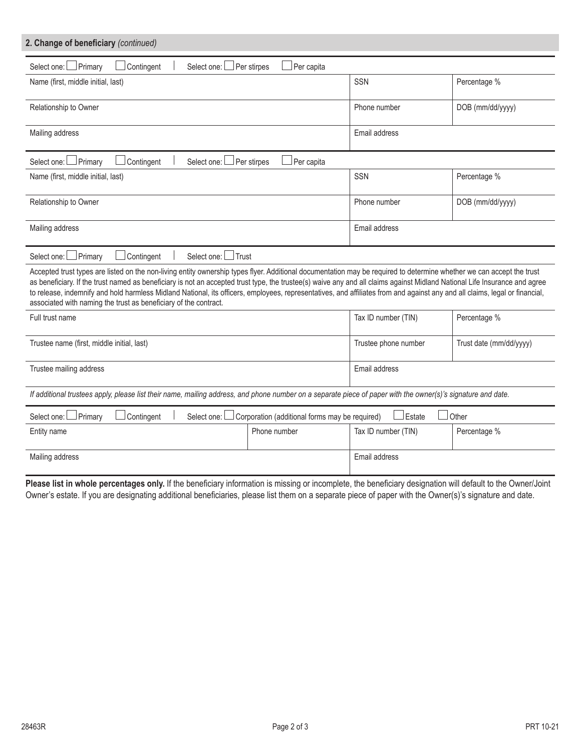| 2. Change of beneficiary (continued)                                                                                                                                                                                                                                                                                                                                                                                                                                                                                                                                                                   |                                                |                      |                         |
|--------------------------------------------------------------------------------------------------------------------------------------------------------------------------------------------------------------------------------------------------------------------------------------------------------------------------------------------------------------------------------------------------------------------------------------------------------------------------------------------------------------------------------------------------------------------------------------------------------|------------------------------------------------|----------------------|-------------------------|
| Select one: DPrimary<br>Contingent<br>Select one: L                                                                                                                                                                                                                                                                                                                                                                                                                                                                                                                                                    | $\Box$ Per stirpes<br>Per capita               |                      |                         |
| Name (first, middle initial, last)                                                                                                                                                                                                                                                                                                                                                                                                                                                                                                                                                                     |                                                | SSN                  | Percentage %            |
| Relationship to Owner                                                                                                                                                                                                                                                                                                                                                                                                                                                                                                                                                                                  |                                                | Phone number         | DOB (mm/dd/yyyy)        |
| Mailing address                                                                                                                                                                                                                                                                                                                                                                                                                                                                                                                                                                                        |                                                | Email address        |                         |
| Select one: Primary<br>Contingent<br>Select one:                                                                                                                                                                                                                                                                                                                                                                                                                                                                                                                                                       | Per stirpes<br>∫Per capita                     |                      |                         |
| Name (first, middle initial, last)                                                                                                                                                                                                                                                                                                                                                                                                                                                                                                                                                                     |                                                | SSN                  | Percentage %            |
| Relationship to Owner                                                                                                                                                                                                                                                                                                                                                                                                                                                                                                                                                                                  |                                                | Phone number         | DOB (mm/dd/yyyy)        |
| Mailing address                                                                                                                                                                                                                                                                                                                                                                                                                                                                                                                                                                                        |                                                | Email address        |                         |
| $\Box$ Primary<br>Contingent<br>$\operatorname{\mathsf{\mathsf{I}}}$ Trust<br>Select one:<br>Select one: L                                                                                                                                                                                                                                                                                                                                                                                                                                                                                             |                                                |                      |                         |
| Accepted trust types are listed on the non-living entity ownership types flyer. Additional documentation may be required to determine whether we can accept the trust<br>as beneficiary. If the trust named as beneficiary is not an accepted trust type, the trustee(s) waive any and all claims against Midland National Life Insurance and agree<br>to release, indemnify and hold harmless Midland National, its officers, employees, representatives, and affiliates from and against any and all claims, legal or financial,<br>associated with naming the trust as beneficiary of the contract. |                                                |                      |                         |
| Full trust name                                                                                                                                                                                                                                                                                                                                                                                                                                                                                                                                                                                        |                                                | Tax ID number (TIN)  | Percentage %            |
| Trustee name (first, middle initial, last)                                                                                                                                                                                                                                                                                                                                                                                                                                                                                                                                                             |                                                | Trustee phone number | Trust date (mm/dd/yyyy) |
| Trustee mailing address                                                                                                                                                                                                                                                                                                                                                                                                                                                                                                                                                                                |                                                | Email address        |                         |
| If additional trustees apply, please list their name, mailing address, and phone number on a separate piece of paper with the owner(s)'s signature and date.                                                                                                                                                                                                                                                                                                                                                                                                                                           |                                                |                      |                         |
| Primary<br>Contingent<br>Select one: I<br>Select one:                                                                                                                                                                                                                                                                                                                                                                                                                                                                                                                                                  | Corporation (additional forms may be required) | Estate               | Other                   |
| Entity name                                                                                                                                                                                                                                                                                                                                                                                                                                                                                                                                                                                            | Phone number                                   | Tax ID number (TIN)  | Percentage %            |
| Mailing address                                                                                                                                                                                                                                                                                                                                                                                                                                                                                                                                                                                        |                                                | Email address        |                         |

Please list in whole percentages only. If the beneficiary information is missing or incomplete, the beneficiary designation will default to the Owner/Joint Owner's estate. If you are designating additional beneficiaries, please list them on a separate piece of paper with the Owner(s)'s signature and date.